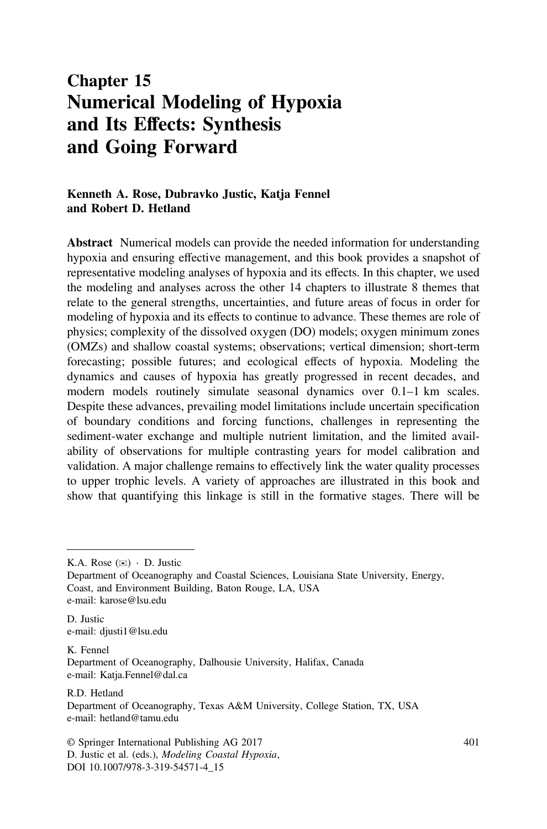# **Chapter 15 Numerical Modeling of Hypoxia and Its Effects: Synthesis and Going Forward**

#### **Kenneth A. Rose, Dubravko Justic, Katja Fennel and Robert D. Hetland**

**Abstract** Numerical models can provide the needed information for understanding hypoxia and ensuring effective management, and this book provides a snapshot of representative modeling analyses of hypoxia and its effects. In this chapter, we used the modeling and analyses across the other 14 chapters to illustrate 8 themes that relate to the general strengths, uncertainties, and future areas of focus in order for modeling of hypoxia and its effects to continue to advance. These themes are role of physics; complexity of the dissolved oxygen (DO) models; oxygen minimum zones (OMZs) and shallow coastal systems; observations; vertical dimension; short-term forecasting; possible futures; and ecological effects of hypoxia. Modeling the dynamics and causes of hypoxia has greatly progressed in recent decades, and modern models routinely simulate seasonal dynamics over 0.1–1 km scales. Despite these advances, prevailing model limitations include uncertain specification of boundary conditions and forcing functions, challenges in representing the sediment-water exchange and multiple nutrient limitation, and the limited availability of observations for multiple contrasting years for model calibration and validation. A major challenge remains to effectively link the water quality processes to upper trophic levels. A variety of approaches are illustrated in this book and show that quantifying this linkage is still in the formative stages. There will be

D. Justic e-mail: djusti1@lsu.edu

K.A. Rose (✉) <sup>⋅</sup> D. Justic Department of Oceanography and Coastal Sciences, Louisiana State University, Energy, Coast, and Environment Building, Baton Rouge, LA, USA e-mail: karose@lsu.edu

K. Fennel Department of Oceanography, Dalhousie University, Halifax, Canada e-mail: Katja.Fennel@dal.ca

R.D. Hetland Department of Oceanography, Texas A&M University, College Station, TX, USA e-mail: hetland@tamu.edu

<sup>©</sup> Springer International Publishing AG 2017 D. Justic et al. (eds.), *Modeling Coastal Hypoxia*, DOI 10.1007/978-3-319-54571-4\_15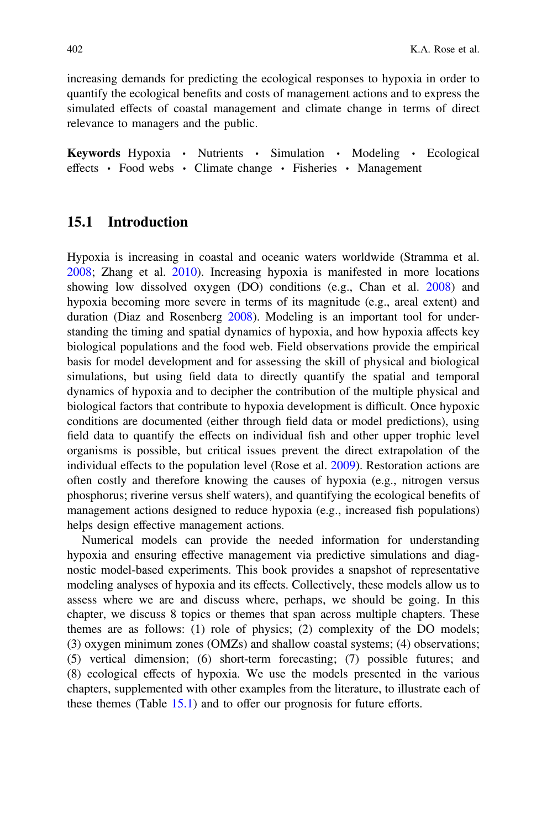increasing demands for predicting the ecological responses to hypoxia in order to quantify the ecological benefits and costs of management actions and to express the simulated effects of coastal management and climate change in terms of direct relevance to managers and the public.

**Keywords** Hypoxia ⋅ Nutrients ⋅ Simulation ⋅ Modeling ⋅ Ecological effects ⋅ Food webs ⋅ Climate change ⋅ Fisheries ⋅ Management

#### **15.1 Introduction**

Hypoxia is increasing in coastal and oceanic waters worldwide (Stramma et al. 2008; Zhang et al. 2010). Increasing hypoxia is manifested in more locations showing low dissolved oxygen (DO) conditions (e.g., Chan et al. 2008) and hypoxia becoming more severe in terms of its magnitude (e.g., areal extent) and duration (Diaz and Rosenberg 2008). Modeling is an important tool for understanding the timing and spatial dynamics of hypoxia, and how hypoxia affects key biological populations and the food web. Field observations provide the empirical basis for model development and for assessing the skill of physical and biological simulations, but using field data to directly quantify the spatial and temporal dynamics of hypoxia and to decipher the contribution of the multiple physical and biological factors that contribute to hypoxia development is difficult. Once hypoxic conditions are documented (either through field data or model predictions), using field data to quantify the effects on individual fish and other upper trophic level organisms is possible, but critical issues prevent the direct extrapolation of the individual effects to the population level (Rose et al. 2009). Restoration actions are often costly and therefore knowing the causes of hypoxia (e.g., nitrogen versus phosphorus; riverine versus shelf waters), and quantifying the ecological benefits of management actions designed to reduce hypoxia (e.g., increased fish populations) helps design effective management actions.

Numerical models can provide the needed information for understanding hypoxia and ensuring effective management via predictive simulations and diagnostic model-based experiments. This book provides a snapshot of representative modeling analyses of hypoxia and its effects. Collectively, these models allow us to assess where we are and discuss where, perhaps, we should be going. In this chapter, we discuss 8 topics or themes that span across multiple chapters. These themes are as follows: (1) role of physics; (2) complexity of the DO models; (3) oxygen minimum zones (OMZs) and shallow coastal systems; (4) observations; (5) vertical dimension; (6) short-term forecasting; (7) possible futures; and (8) ecological effects of hypoxia. We use the models presented in the various chapters, supplemented with other examples from the literature, to illustrate each of these themes (Table 15.1) and to offer our prognosis for future efforts.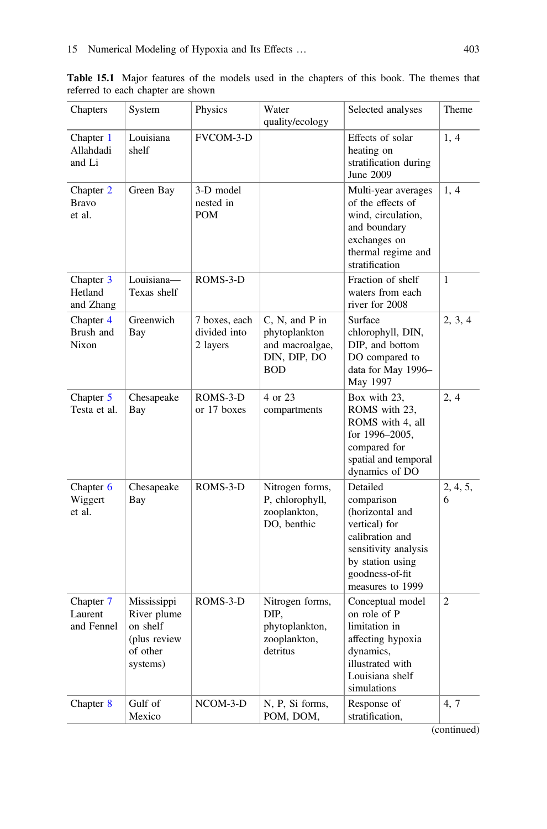| Chapters                            | System                                                                         | Physics                                   | Water<br>quality/ecology                                                         | Selected analyses                                                                                                                                                | Theme         |
|-------------------------------------|--------------------------------------------------------------------------------|-------------------------------------------|----------------------------------------------------------------------------------|------------------------------------------------------------------------------------------------------------------------------------------------------------------|---------------|
| Chapter 1<br>Allahdadi<br>and Li    | Louisiana<br>shelf                                                             | FVCOM-3-D                                 |                                                                                  | Effects of solar<br>heating on<br>stratification during<br>June 2009                                                                                             | 1, 4          |
| Chapter 2<br><b>Bravo</b><br>et al. | Green Bay                                                                      | 3-D model<br>nested in<br><b>POM</b>      |                                                                                  | Multi-year averages<br>of the effects of<br>wind, circulation,<br>and boundary<br>exchanges on<br>thermal regime and<br>stratification                           | 1, 4          |
| Chapter 3<br>Hetland<br>and Zhang   | Louisiana-<br>Texas shelf                                                      | ROMS-3-D                                  |                                                                                  | Fraction of shelf<br>waters from each<br>river for 2008                                                                                                          | $\mathbf{1}$  |
| Chapter 4<br>Brush and<br>Nixon     | Greenwich<br>Bay                                                               | 7 boxes, each<br>divided into<br>2 layers | C, N, and P in<br>phytoplankton<br>and macroalgae,<br>DIN, DIP, DO<br><b>BOD</b> | Surface<br>chlorophyll, DIN,<br>DIP, and bottom<br>DO compared to<br>data for May 1996-<br>May 1997                                                              | 2, 3, 4       |
| Chapter 5<br>Testa et al.           | Chesapeake<br>Bay                                                              | ROMS-3-D<br>or 17 boxes                   | 4 or 23<br>compartments                                                          | Box with 23,<br>ROMS with 23.<br>ROMS with 4, all<br>for 1996–2005,<br>compared for<br>spatial and temporal<br>dynamics of DO                                    | 2, 4          |
| Chapter 6<br>Wiggert<br>et al.      | Chesapeake<br>Bay                                                              | ROMS-3-D                                  | Nitrogen forms,<br>P, chlorophyll,<br>zooplankton,<br>DO, benthic                | Detailed<br>comparison<br>(horizontal and<br>vertical) for<br>calibration and<br>sensitivity analysis<br>by station using<br>goodness-of-fit<br>measures to 1999 | 2, 4, 5,<br>6 |
| Chapter 7<br>Laurent<br>and Fennel  | Mississippi<br>River plume<br>on shelf<br>(plus review<br>of other<br>systems) | $ROMS-3-D$                                | Nitrogen forms,<br>DIP.<br>phytoplankton,<br>zooplankton,<br>detritus            | Conceptual model<br>on role of P<br>limitation in<br>affecting hypoxia<br>dynamics,<br>illustrated with<br>Louisiana shelf<br>simulations                        | 2             |
| Chapter 8                           | Gulf of<br>Mexico                                                              | NCOM-3-D                                  | N, P, Si forms,<br>POM, DOM,                                                     | Response of<br>stratification,                                                                                                                                   | 4, 7          |

**Table 15.1** Major features of the models used in the chapters of this book. The themes that referred to each chapter are shown

(continued)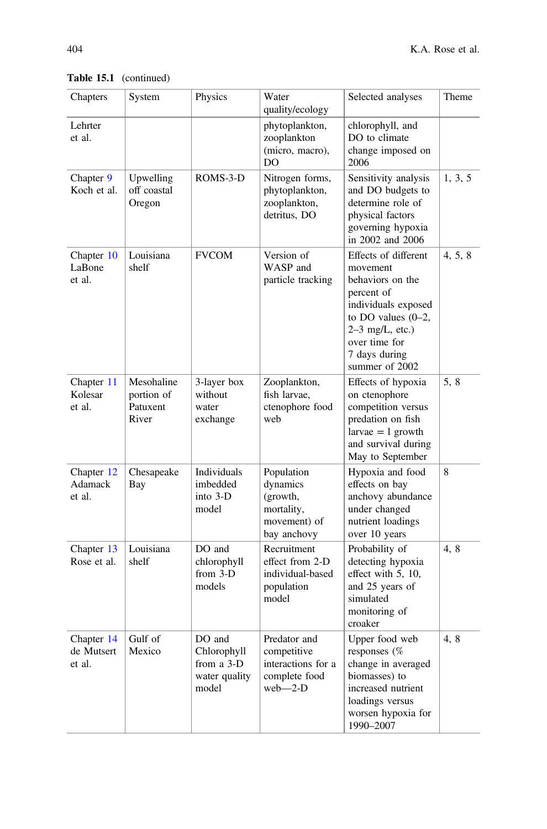| Chapters                           | System                                        | Physics                                                       | Water<br>quality/ecology                                                          | Selected analyses                                                                                                                                                                          | Theme   |
|------------------------------------|-----------------------------------------------|---------------------------------------------------------------|-----------------------------------------------------------------------------------|--------------------------------------------------------------------------------------------------------------------------------------------------------------------------------------------|---------|
| Lehrter<br>et al.                  |                                               |                                                               | phytoplankton,<br>zooplankton<br>(micro, macro),<br>DO                            | chlorophyll, and<br>DO to climate<br>change imposed on<br>2006                                                                                                                             |         |
| Chapter 9<br>Koch et al.           | Upwelling<br>off coastal<br>Oregon            | ROMS-3-D                                                      | Nitrogen forms,<br>phytoplankton,<br>zooplankton,<br>detritus, DO                 | Sensitivity analysis<br>and DO budgets to<br>determine role of<br>physical factors<br>governing hypoxia<br>in 2002 and 2006                                                                | 1, 3, 5 |
| Chapter 10<br>LaBone<br>et al.     | Louisiana<br>shelf                            | <b>FVCOM</b>                                                  | Version of<br>WASP and<br>particle tracking                                       | Effects of different<br>movement<br>behaviors on the<br>percent of<br>individuals exposed<br>to DO values $(0-2,$<br>$2-3$ mg/L, etc.)<br>over time for<br>7 days during<br>summer of 2002 | 4, 5, 8 |
| Chapter 11<br>Kolesar<br>et al.    | Mesohaline<br>portion of<br>Patuxent<br>River | 3-layer box<br>without<br>water<br>exchange                   | Zooplankton,<br>fish larvae,<br>ctenophore food<br>web                            | Effects of hypoxia<br>on ctenophore<br>competition versus<br>predation on fish<br>$larvae = 1$ growth<br>and survival during<br>May to September                                           | 5, 8    |
| Chapter 12<br>Adamack<br>et al.    | Chesapeake<br>Bay                             | Individuals<br>imbedded<br>into 3-D<br>model                  | Population<br>dynamics<br>(growth,<br>mortality,<br>movement) of<br>bay anchovy   | Hypoxia and food<br>effects on bay<br>anchovy abundance<br>under changed<br>nutrient loadings<br>over 10 years                                                                             | 8       |
| Chapter 13<br>Rose et al.          | Louisiana<br>shelf                            | DO and<br>chlorophyll<br>from 3-D<br>models                   | Recruitment<br>effect from 2-D<br>individual-based<br>population<br>model         | Probability of<br>detecting hypoxia<br>effect with 5, 10,<br>and 25 years of<br>simulated<br>monitoring of<br>croaker                                                                      | 4,8     |
| Chapter 14<br>de Mutsert<br>et al. | Gulf of<br>Mexico                             | DO and<br>Chlorophyll<br>from a 3-D<br>water quality<br>model | Predator and<br>competitive<br>interactions for a<br>complete food<br>$web - 2-D$ | Upper food web<br>responses $(\%$<br>change in averaged<br>biomasses) to<br>increased nutrient<br>loadings versus<br>worsen hypoxia for<br>1990-2007                                       | 4,8     |

### **Table 15.1** (continued)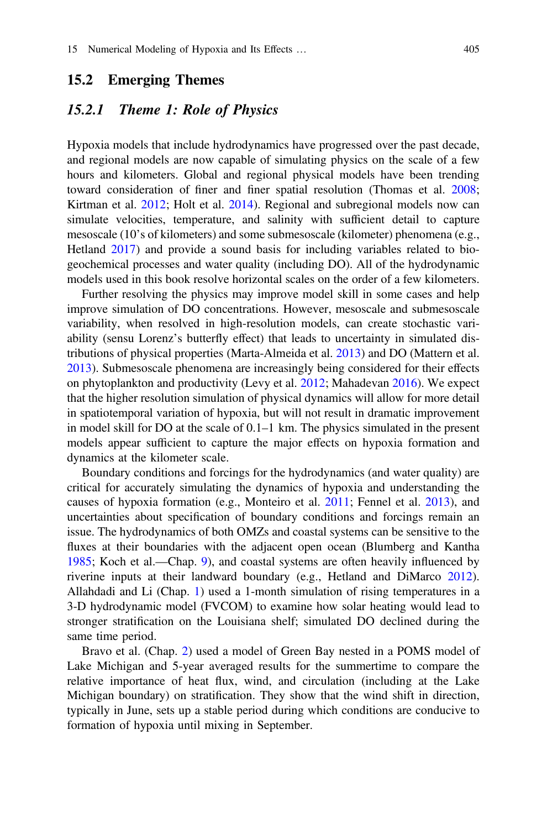#### **15.2 Emerging Themes**

#### *15.2.1 Theme 1: Role of Physics*

Hypoxia models that include hydrodynamics have progressed over the past decade, and regional models are now capable of simulating physics on the scale of a few hours and kilometers. Global and regional physical models have been trending toward consideration of finer and finer spatial resolution (Thomas et al. 2008; Kirtman et al. 2012; Holt et al. 2014). Regional and subregional models now can simulate velocities, temperature, and salinity with sufficient detail to capture mesoscale (10's of kilometers) and some submesoscale (kilometer) phenomena (e.g., Hetland 2017) and provide a sound basis for including variables related to biogeochemical processes and water quality (including DO). All of the hydrodynamic models used in this book resolve horizontal scales on the order of a few kilometers.

Further resolving the physics may improve model skill in some cases and help improve simulation of DO concentrations. However, mesoscale and submesoscale variability, when resolved in high-resolution models, can create stochastic variability (sensu Lorenz's butterfly effect) that leads to uncertainty in simulated distributions of physical properties (Marta-Almeida et al. 2013) and DO (Mattern et al. 2013). Submesoscale phenomena are increasingly being considered for their effects on phytoplankton and productivity (Levy et al. 2012; Mahadevan 2016). We expect that the higher resolution simulation of physical dynamics will allow for more detail in spatiotemporal variation of hypoxia, but will not result in dramatic improvement in model skill for DO at the scale of 0.1–1 km. The physics simulated in the present models appear sufficient to capture the major effects on hypoxia formation and dynamics at the kilometer scale.

Boundary conditions and forcings for the hydrodynamics (and water quality) are critical for accurately simulating the dynamics of hypoxia and understanding the causes of hypoxia formation (e.g., Monteiro et al. 2011; Fennel et al. 2013), and uncertainties about specification of boundary conditions and forcings remain an issue. The hydrodynamics of both OMZs and coastal systems can be sensitive to the fluxes at their boundaries with the adjacent open ocean (Blumberg and Kantha 1985; Koch et al.—Chap. [9\)](http://dx.doi.org/10.1007/978-3-319-54571-4_9), and coastal systems are often heavily influenced by riverine inputs at their landward boundary (e.g., Hetland and DiMarco 2012). Allahdadi and Li (Chap. [1\)](http://dx.doi.org/10.1007/978-3-319-54571-4_1) used a 1-month simulation of rising temperatures in a 3-D hydrodynamic model (FVCOM) to examine how solar heating would lead to stronger stratification on the Louisiana shelf; simulated DO declined during the same time period.

Bravo et al. (Chap. [2](http://dx.doi.org/10.1007/978-3-319-54571-4_2)) used a model of Green Bay nested in a POMS model of Lake Michigan and 5-year averaged results for the summertime to compare the relative importance of heat flux, wind, and circulation (including at the Lake Michigan boundary) on stratification. They show that the wind shift in direction, typically in June, sets up a stable period during which conditions are conducive to formation of hypoxia until mixing in September.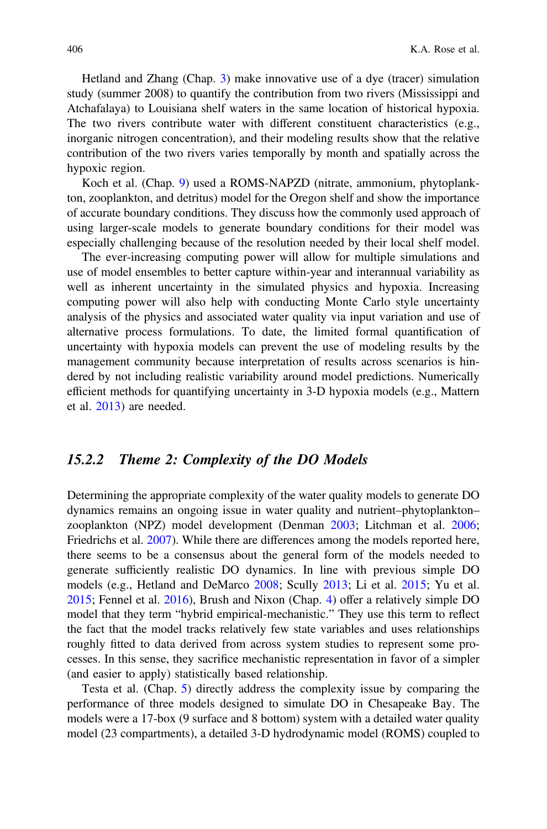Hetland and Zhang (Chap. [3\)](http://dx.doi.org/10.1007/978-3-319-54571-4_3) make innovative use of a dye (tracer) simulation study (summer 2008) to quantify the contribution from two rivers (Mississippi and Atchafalaya) to Louisiana shelf waters in the same location of historical hypoxia. The two rivers contribute water with different constituent characteristics (e.g., inorganic nitrogen concentration), and their modeling results show that the relative contribution of the two rivers varies temporally by month and spatially across the hypoxic region.

Koch et al. (Chap. [9\)](http://dx.doi.org/10.1007/978-3-319-54571-4_9) used a ROMS-NAPZD (nitrate, ammonium, phytoplankton, zooplankton, and detritus) model for the Oregon shelf and show the importance of accurate boundary conditions. They discuss how the commonly used approach of using larger-scale models to generate boundary conditions for their model was especially challenging because of the resolution needed by their local shelf model.

The ever-increasing computing power will allow for multiple simulations and use of model ensembles to better capture within-year and interannual variability as well as inherent uncertainty in the simulated physics and hypoxia. Increasing computing power will also help with conducting Monte Carlo style uncertainty analysis of the physics and associated water quality via input variation and use of alternative process formulations. To date, the limited formal quantification of uncertainty with hypoxia models can prevent the use of modeling results by the management community because interpretation of results across scenarios is hindered by not including realistic variability around model predictions. Numerically efficient methods for quantifying uncertainty in 3-D hypoxia models (e.g., Mattern et al. 2013) are needed.

#### *15.2.2 Theme 2: Complexity of the DO Models*

Determining the appropriate complexity of the water quality models to generate DO dynamics remains an ongoing issue in water quality and nutrient–phytoplankton– zooplankton (NPZ) model development (Denman 2003; Litchman et al. 2006; Friedrichs et al. 2007). While there are differences among the models reported here, there seems to be a consensus about the general form of the models needed to generate sufficiently realistic DO dynamics. In line with previous simple DO models (e.g., Hetland and DeMarco 2008; Scully 2013; Li et al. 2015; Yu et al. 2015; Fennel et al. 2016), Brush and Nixon (Chap. [4](http://dx.doi.org/10.1007/978-3-319-54571-4_4)) offer a relatively simple DO model that they term "hybrid empirical-mechanistic." They use this term to reflect the fact that the model tracks relatively few state variables and uses relationships roughly fitted to data derived from across system studies to represent some processes. In this sense, they sacrifice mechanistic representation in favor of a simpler (and easier to apply) statistically based relationship.

Testa et al. (Chap. [5\)](http://dx.doi.org/10.1007/978-3-319-54571-4_5) directly address the complexity issue by comparing the performance of three models designed to simulate DO in Chesapeake Bay. The models were a 17-box (9 surface and 8 bottom) system with a detailed water quality model (23 compartments), a detailed 3-D hydrodynamic model (ROMS) coupled to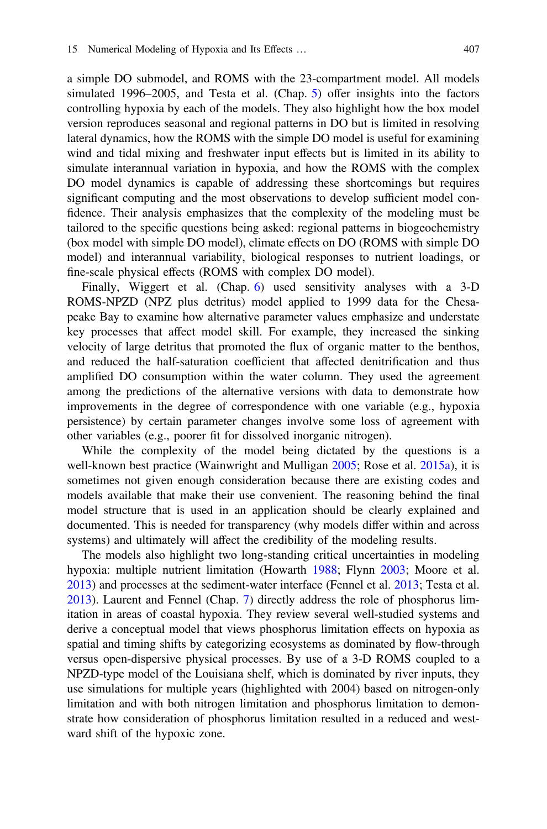a simple DO submodel, and ROMS with the 23-compartment model. All models simulated 1996–2005, and Testa et al. (Chap. [5](http://dx.doi.org/10.1007/978-3-319-54571-4_5)) offer insights into the factors controlling hypoxia by each of the models. They also highlight how the box model version reproduces seasonal and regional patterns in DO but is limited in resolving lateral dynamics, how the ROMS with the simple DO model is useful for examining wind and tidal mixing and freshwater input effects but is limited in its ability to simulate interannual variation in hypoxia, and how the ROMS with the complex DO model dynamics is capable of addressing these shortcomings but requires significant computing and the most observations to develop sufficient model confidence. Their analysis emphasizes that the complexity of the modeling must be tailored to the specific questions being asked: regional patterns in biogeochemistry (box model with simple DO model), climate effects on DO (ROMS with simple DO model) and interannual variability, biological responses to nutrient loadings, or fine-scale physical effects (ROMS with complex DO model).

Finally, Wiggert et al. (Chap. [6](http://dx.doi.org/10.1007/978-3-319-54571-4_6)) used sensitivity analyses with a 3-D ROMS-NPZD (NPZ plus detritus) model applied to 1999 data for the Chesapeake Bay to examine how alternative parameter values emphasize and understate key processes that affect model skill. For example, they increased the sinking velocity of large detritus that promoted the flux of organic matter to the benthos, and reduced the half-saturation coefficient that affected denitrification and thus amplified DO consumption within the water column. They used the agreement among the predictions of the alternative versions with data to demonstrate how improvements in the degree of correspondence with one variable (e.g., hypoxia persistence) by certain parameter changes involve some loss of agreement with other variables (e.g., poorer fit for dissolved inorganic nitrogen).

While the complexity of the model being dictated by the questions is a well-known best practice (Wainwright and Mulligan 2005; Rose et al. 2015a), it is sometimes not given enough consideration because there are existing codes and models available that make their use convenient. The reasoning behind the final model structure that is used in an application should be clearly explained and documented. This is needed for transparency (why models differ within and across systems) and ultimately will affect the credibility of the modeling results.

The models also highlight two long-standing critical uncertainties in modeling hypoxia: multiple nutrient limitation (Howarth 1988; Flynn 2003; Moore et al. 2013) and processes at the sediment-water interface (Fennel et al. 2013; Testa et al. 2013). Laurent and Fennel (Chap. [7](http://dx.doi.org/10.1007/978-3-319-54571-4_7)) directly address the role of phosphorus limitation in areas of coastal hypoxia. They review several well-studied systems and derive a conceptual model that views phosphorus limitation effects on hypoxia as spatial and timing shifts by categorizing ecosystems as dominated by flow-through versus open-dispersive physical processes. By use of a 3-D ROMS coupled to a NPZD-type model of the Louisiana shelf, which is dominated by river inputs, they use simulations for multiple years (highlighted with 2004) based on nitrogen-only limitation and with both nitrogen limitation and phosphorus limitation to demonstrate how consideration of phosphorus limitation resulted in a reduced and westward shift of the hypoxic zone.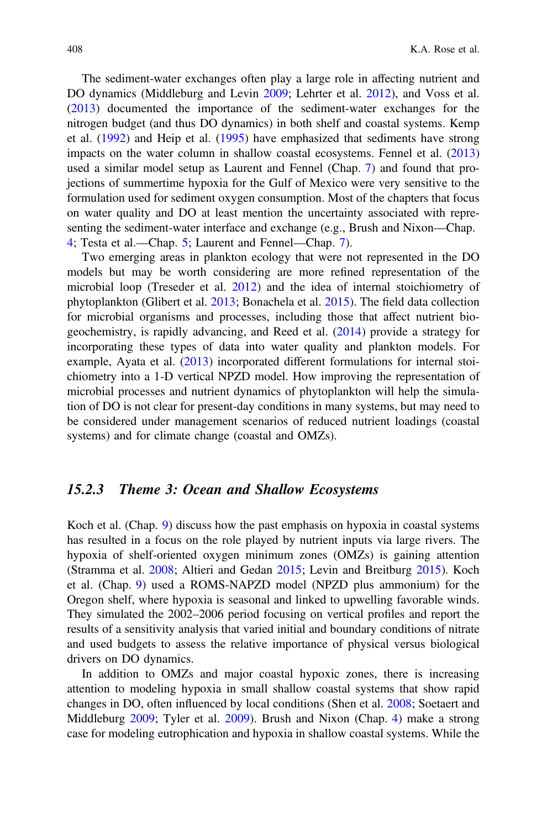The sediment-water exchanges often play a large role in affecting nutrient and DO dynamics (Middleburg and Levin 2009; Lehrter et al. 2012), and Voss et al. (2013) documented the importance of the sediment-water exchanges for the nitrogen budget (and thus DO dynamics) in both shelf and coastal systems. Kemp et al. (1992) and Heip et al. (1995) have emphasized that sediments have strong impacts on the water column in shallow coastal ecosystems. Fennel et al. (2013) used a similar model setup as Laurent and Fennel (Chap. [7](http://dx.doi.org/10.1007/978-3-319-54571-4_7)) and found that projections of summertime hypoxia for the Gulf of Mexico were very sensitive to the formulation used for sediment oxygen consumption. Most of the chapters that focus on water quality and DO at least mention the uncertainty associated with representing the sediment-water interface and exchange (e.g., Brush and Nixon—Chap. [4;](http://dx.doi.org/10.1007/978-3-319-54571-4_4) Testa et al.—Chap. [5](http://dx.doi.org/10.1007/978-3-319-54571-4_5); Laurent and Fennel—Chap. [7\)](http://dx.doi.org/10.1007/978-3-319-54571-4_7).

Two emerging areas in plankton ecology that were not represented in the DO models but may be worth considering are more refined representation of the microbial loop (Treseder et al. 2012) and the idea of internal stoichiometry of phytoplankton (Glibert et al. 2013; Bonachela et al. 2015). The field data collection for microbial organisms and processes, including those that affect nutrient biogeochemistry, is rapidly advancing, and Reed et al. (2014) provide a strategy for incorporating these types of data into water quality and plankton models. For example, Ayata et al. (2013) incorporated different formulations for internal stoichiometry into a 1-D vertical NPZD model. How improving the representation of microbial processes and nutrient dynamics of phytoplankton will help the simulation of DO is not clear for present-day conditions in many systems, but may need to be considered under management scenarios of reduced nutrient loadings (coastal systems) and for climate change (coastal and OMZs).

#### *15.2.3 Theme 3: Ocean and Shallow Ecosystems*

Koch et al. (Chap. [9](http://dx.doi.org/10.1007/978-3-319-54571-4_9)) discuss how the past emphasis on hypoxia in coastal systems has resulted in a focus on the role played by nutrient inputs via large rivers. The hypoxia of shelf-oriented oxygen minimum zones (OMZs) is gaining attention (Stramma et al. 2008; Altieri and Gedan 2015; Levin and Breitburg 2015). Koch et al. (Chap. [9](http://dx.doi.org/10.1007/978-3-319-54571-4_9)) used a ROMS-NAPZD model (NPZD plus ammonium) for the Oregon shelf, where hypoxia is seasonal and linked to upwelling favorable winds. They simulated the 2002–2006 period focusing on vertical profiles and report the results of a sensitivity analysis that varied initial and boundary conditions of nitrate and used budgets to assess the relative importance of physical versus biological drivers on DO dynamics.

In addition to OMZs and major coastal hypoxic zones, there is increasing attention to modeling hypoxia in small shallow coastal systems that show rapid changes in DO, often influenced by local conditions (Shen et al. 2008; Soetaert and Middleburg 2009; Tyler et al. 2009). Brush and Nixon (Chap. [4](http://dx.doi.org/10.1007/978-3-319-54571-4_4)) make a strong case for modeling eutrophication and hypoxia in shallow coastal systems. While the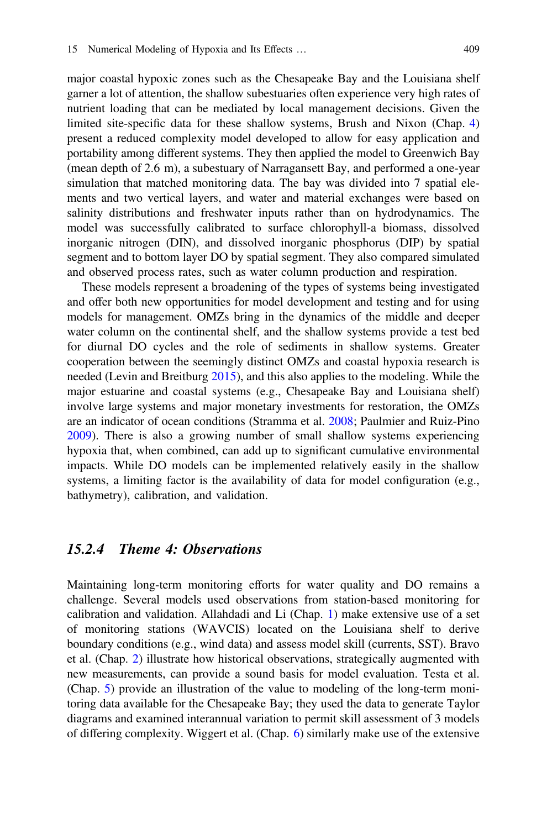major coastal hypoxic zones such as the Chesapeake Bay and the Louisiana shelf garner a lot of attention, the shallow subestuaries often experience very high rates of nutrient loading that can be mediated by local management decisions. Given the limited site-specific data for these shallow systems, Brush and Nixon (Chap. [4](http://dx.doi.org/10.1007/978-3-319-54571-4_4)) present a reduced complexity model developed to allow for easy application and portability among different systems. They then applied the model to Greenwich Bay (mean depth of 2.6 m), a subestuary of Narragansett Bay, and performed a one-year simulation that matched monitoring data. The bay was divided into 7 spatial elements and two vertical layers, and water and material exchanges were based on salinity distributions and freshwater inputs rather than on hydrodynamics. The model was successfully calibrated to surface chlorophyll-a biomass, dissolved inorganic nitrogen (DIN), and dissolved inorganic phosphorus (DIP) by spatial segment and to bottom layer DO by spatial segment. They also compared simulated and observed process rates, such as water column production and respiration.

These models represent a broadening of the types of systems being investigated and offer both new opportunities for model development and testing and for using models for management. OMZs bring in the dynamics of the middle and deeper water column on the continental shelf, and the shallow systems provide a test bed for diurnal DO cycles and the role of sediments in shallow systems. Greater cooperation between the seemingly distinct OMZs and coastal hypoxia research is needed (Levin and Breitburg 2015), and this also applies to the modeling. While the major estuarine and coastal systems (e.g., Chesapeake Bay and Louisiana shelf) involve large systems and major monetary investments for restoration, the OMZs are an indicator of ocean conditions (Stramma et al. 2008; Paulmier and Ruiz-Pino 2009). There is also a growing number of small shallow systems experiencing hypoxia that, when combined, can add up to significant cumulative environmental impacts. While DO models can be implemented relatively easily in the shallow systems, a limiting factor is the availability of data for model configuration (e.g., bathymetry), calibration, and validation.

#### *15.2.4 Theme 4: Observations*

Maintaining long-term monitoring efforts for water quality and DO remains a challenge. Several models used observations from station-based monitoring for calibration and validation. Allahdadi and Li (Chap. [1](http://dx.doi.org/10.1007/978-3-319-54571-4_1)) make extensive use of a set of monitoring stations (WAVCIS) located on the Louisiana shelf to derive boundary conditions (e.g., wind data) and assess model skill (currents, SST). Bravo et al. (Chap. [2\)](http://dx.doi.org/10.1007/978-3-319-54571-4_2) illustrate how historical observations, strategically augmented with new measurements, can provide a sound basis for model evaluation. Testa et al. (Chap. [5\)](http://dx.doi.org/10.1007/978-3-319-54571-4_5) provide an illustration of the value to modeling of the long-term monitoring data available for the Chesapeake Bay; they used the data to generate Taylor diagrams and examined interannual variation to permit skill assessment of 3 models of differing complexity. Wiggert et al. (Chap. [6](http://dx.doi.org/10.1007/978-3-319-54571-4_6)) similarly make use of the extensive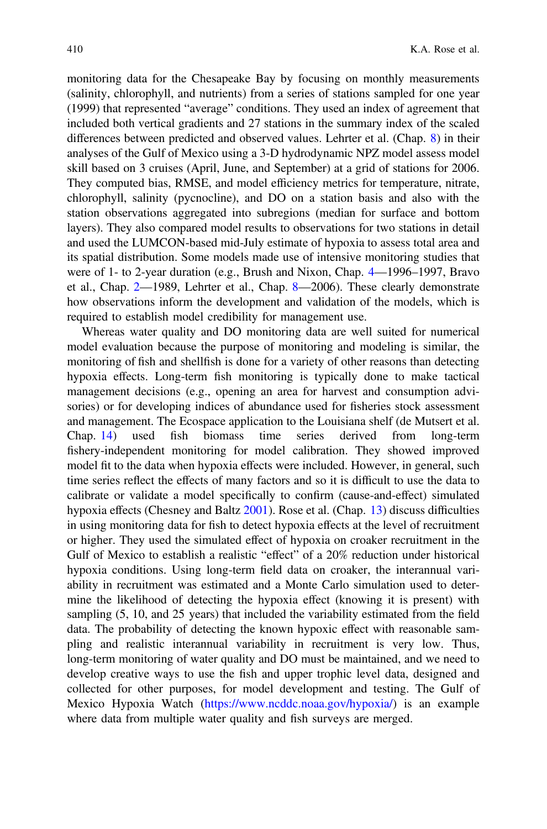monitoring data for the Chesapeake Bay by focusing on monthly measurements (salinity, chlorophyll, and nutrients) from a series of stations sampled for one year (1999) that represented "average" conditions. They used an index of agreement that included both vertical gradients and 27 stations in the summary index of the scaled differences between predicted and observed values. Lehrter et al. (Chap. [8\)](http://dx.doi.org/10.1007/978-3-319-54571-4_8) in their analyses of the Gulf of Mexico using a 3-D hydrodynamic NPZ model assess model skill based on 3 cruises (April, June, and September) at a grid of stations for 2006. They computed bias, RMSE, and model efficiency metrics for temperature, nitrate, chlorophyll, salinity (pycnocline), and DO on a station basis and also with the station observations aggregated into subregions (median for surface and bottom layers). They also compared model results to observations for two stations in detail and used the LUMCON-based mid-July estimate of hypoxia to assess total area and its spatial distribution. Some models made use of intensive monitoring studies that were of 1- to 2-year duration (e.g., Brush and Nixon, Chap. [4](http://dx.doi.org/10.1007/978-3-319-54571-4_4)—1996–1997, Bravo et al., Chap. [2](http://dx.doi.org/10.1007/978-3-319-54571-4_2)—1989, Lehrter et al., Chap. [8](http://dx.doi.org/10.1007/978-3-319-54571-4_8)—2006). These clearly demonstrate how observations inform the development and validation of the models, which is required to establish model credibility for management use.

Whereas water quality and DO monitoring data are well suited for numerical model evaluation because the purpose of monitoring and modeling is similar, the monitoring of fish and shellfish is done for a variety of other reasons than detecting hypoxia effects. Long-term fish monitoring is typically done to make tactical management decisions (e.g., opening an area for harvest and consumption advisories) or for developing indices of abundance used for fisheries stock assessment and management. The Ecospace application to the Louisiana shelf (de Mutsert et al. Chap. [14\)](http://dx.doi.org/10.1007/978-3-319-54571-4_14) used fish biomass time series derived from long-term fishery-independent monitoring for model calibration. They showed improved model fit to the data when hypoxia effects were included. However, in general, such time series reflect the effects of many factors and so it is difficult to use the data to calibrate or validate a model specifically to confirm (cause-and-effect) simulated hypoxia effects (Chesney and Baltz 2001). Rose et al. (Chap. [13](http://dx.doi.org/10.1007/978-3-319-54571-4_13)) discuss difficulties in using monitoring data for fish to detect hypoxia effects at the level of recruitment or higher. They used the simulated effect of hypoxia on croaker recruitment in the Gulf of Mexico to establish a realistic "effect" of a 20% reduction under historical hypoxia conditions. Using long-term field data on croaker, the interannual variability in recruitment was estimated and a Monte Carlo simulation used to determine the likelihood of detecting the hypoxia effect (knowing it is present) with sampling (5, 10, and 25 years) that included the variability estimated from the field data. The probability of detecting the known hypoxic effect with reasonable sampling and realistic interannual variability in recruitment is very low. Thus, long-term monitoring of water quality and DO must be maintained, and we need to develop creative ways to use the fish and upper trophic level data, designed and collected for other purposes, for model development and testing. The Gulf of Mexico Hypoxia Watch ([https://www.ncddc.noaa.gov/hypoxia/\)](https://www.ncddc.noaa.gov/hypoxia/) is an example where data from multiple water quality and fish surveys are merged.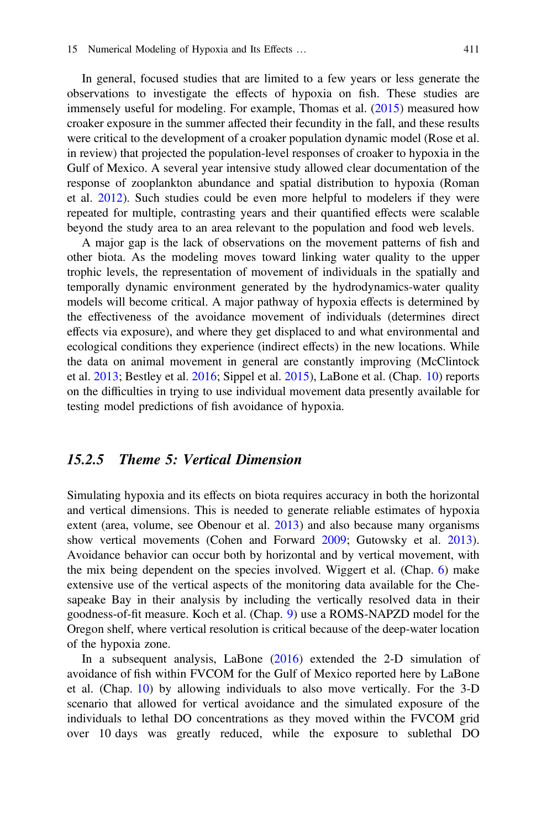In general, focused studies that are limited to a few years or less generate the observations to investigate the effects of hypoxia on fish. These studies are immensely useful for modeling. For example, Thomas et al. (2015) measured how croaker exposure in the summer affected their fecundity in the fall, and these results were critical to the development of a croaker population dynamic model (Rose et al. in review) that projected the population-level responses of croaker to hypoxia in the Gulf of Mexico. A several year intensive study allowed clear documentation of the response of zooplankton abundance and spatial distribution to hypoxia (Roman et al. 2012). Such studies could be even more helpful to modelers if they were repeated for multiple, contrasting years and their quantified effects were scalable beyond the study area to an area relevant to the population and food web levels.

A major gap is the lack of observations on the movement patterns of fish and other biota. As the modeling moves toward linking water quality to the upper trophic levels, the representation of movement of individuals in the spatially and temporally dynamic environment generated by the hydrodynamics-water quality models will become critical. A major pathway of hypoxia effects is determined by the effectiveness of the avoidance movement of individuals (determines direct effects via exposure), and where they get displaced to and what environmental and ecological conditions they experience (indirect effects) in the new locations. While the data on animal movement in general are constantly improving (McClintock et al. 2013; Bestley et al. 2016; Sippel et al. 2015), LaBone et al. (Chap. [10](http://dx.doi.org/10.1007/978-3-319-54571-4_10)) reports on the difficulties in trying to use individual movement data presently available for testing model predictions of fish avoidance of hypoxia.

#### *15.2.5 Theme 5: Vertical Dimension*

Simulating hypoxia and its effects on biota requires accuracy in both the horizontal and vertical dimensions. This is needed to generate reliable estimates of hypoxia extent (area, volume, see Obenour et al. 2013) and also because many organisms show vertical movements (Cohen and Forward 2009; Gutowsky et al. 2013). Avoidance behavior can occur both by horizontal and by vertical movement, with the mix being dependent on the species involved. Wiggert et al. (Chap. [6](http://dx.doi.org/10.1007/978-3-319-54571-4_6)) make extensive use of the vertical aspects of the monitoring data available for the Chesapeake Bay in their analysis by including the vertically resolved data in their goodness-of-fit measure. Koch et al. (Chap. [9\)](http://dx.doi.org/10.1007/978-3-319-54571-4_9) use a ROMS-NAPZD model for the Oregon shelf, where vertical resolution is critical because of the deep-water location of the hypoxia zone.

In a subsequent analysis, LaBone (2016) extended the 2-D simulation of avoidance of fish within FVCOM for the Gulf of Mexico reported here by LaBone et al. (Chap. [10\)](http://dx.doi.org/10.1007/978-3-319-54571-4_10) by allowing individuals to also move vertically. For the 3-D scenario that allowed for vertical avoidance and the simulated exposure of the individuals to lethal DO concentrations as they moved within the FVCOM grid over 10 days was greatly reduced, while the exposure to sublethal DO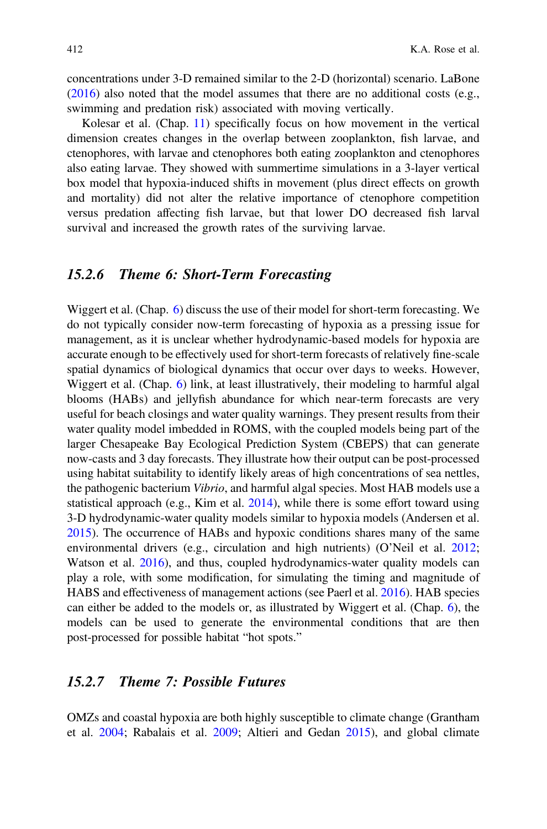concentrations under 3-D remained similar to the 2-D (horizontal) scenario. LaBone (2016) also noted that the model assumes that there are no additional costs (e.g., swimming and predation risk) associated with moving vertically.

Kolesar et al. (Chap. [11](http://dx.doi.org/10.1007/978-3-319-54571-4_11)) specifically focus on how movement in the vertical dimension creates changes in the overlap between zooplankton, fish larvae, and ctenophores, with larvae and ctenophores both eating zooplankton and ctenophores also eating larvae. They showed with summertime simulations in a 3-layer vertical box model that hypoxia-induced shifts in movement (plus direct effects on growth and mortality) did not alter the relative importance of ctenophore competition versus predation affecting fish larvae, but that lower DO decreased fish larval survival and increased the growth rates of the surviving larvae.

#### *15.2.6 Theme 6: Short-Term Forecasting*

Wiggert et al. (Chap. [6](http://dx.doi.org/10.1007/978-3-319-54571-4_6)) discuss the use of their model for short-term forecasting. We do not typically consider now-term forecasting of hypoxia as a pressing issue for management, as it is unclear whether hydrodynamic-based models for hypoxia are accurate enough to be effectively used for short-term forecasts of relatively fine-scale spatial dynamics of biological dynamics that occur over days to weeks. However, Wiggert et al. (Chap. [6\)](http://dx.doi.org/10.1007/978-3-319-54571-4_6) link, at least illustratively, their modeling to harmful algal blooms (HABs) and jellyfish abundance for which near-term forecasts are very useful for beach closings and water quality warnings. They present results from their water quality model imbedded in ROMS, with the coupled models being part of the larger Chesapeake Bay Ecological Prediction System (CBEPS) that can generate now-casts and 3 day forecasts. They illustrate how their output can be post-processed using habitat suitability to identify likely areas of high concentrations of sea nettles, the pathogenic bacterium *Vibrio*, and harmful algal species. Most HAB models use a statistical approach (e.g., Kim et al. 2014), while there is some effort toward using 3-D hydrodynamic-water quality models similar to hypoxia models (Andersen et al. 2015). The occurrence of HABs and hypoxic conditions shares many of the same environmental drivers (e.g., circulation and high nutrients) (O'Neil et al. 2012; Watson et al. 2016), and thus, coupled hydrodynamics-water quality models can play a role, with some modification, for simulating the timing and magnitude of HABS and effectiveness of management actions (see Paerl et al. 2016). HAB species can either be added to the models or, as illustrated by Wiggert et al. (Chap. [6\)](http://dx.doi.org/10.1007/978-3-319-54571-4_6), the models can be used to generate the environmental conditions that are then post-processed for possible habitat "hot spots."

#### *15.2.7 Theme 7: Possible Futures*

OMZs and coastal hypoxia are both highly susceptible to climate change (Grantham et al. 2004; Rabalais et al. 2009; Altieri and Gedan 2015), and global climate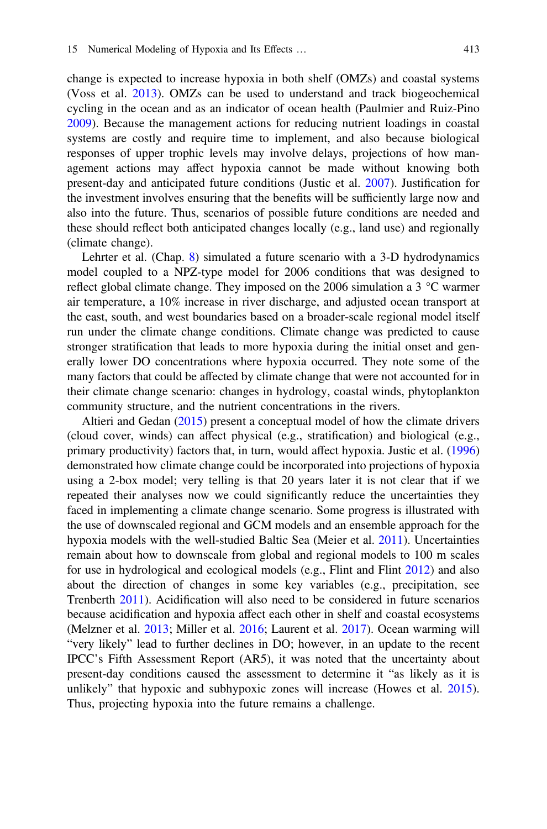change is expected to increase hypoxia in both shelf (OMZs) and coastal systems (Voss et al. 2013). OMZs can be used to understand and track biogeochemical cycling in the ocean and as an indicator of ocean health (Paulmier and Ruiz-Pino 2009). Because the management actions for reducing nutrient loadings in coastal systems are costly and require time to implement, and also because biological responses of upper trophic levels may involve delays, projections of how management actions may affect hypoxia cannot be made without knowing both present-day and anticipated future conditions (Justic et al. 2007). Justification for the investment involves ensuring that the benefits will be sufficiently large now and also into the future. Thus, scenarios of possible future conditions are needed and these should reflect both anticipated changes locally (e.g., land use) and regionally (climate change).

Lehrter et al. (Chap. [8\)](http://dx.doi.org/10.1007/978-3-319-54571-4_8) simulated a future scenario with a 3-D hydrodynamics model coupled to a NPZ-type model for 2006 conditions that was designed to reflect global climate change. They imposed on the 2006 simulation a 3 °C warmer air temperature, a 10% increase in river discharge, and adjusted ocean transport at the east, south, and west boundaries based on a broader-scale regional model itself run under the climate change conditions. Climate change was predicted to cause stronger stratification that leads to more hypoxia during the initial onset and generally lower DO concentrations where hypoxia occurred. They note some of the many factors that could be affected by climate change that were not accounted for in their climate change scenario: changes in hydrology, coastal winds, phytoplankton community structure, and the nutrient concentrations in the rivers.

Altieri and Gedan (2015) present a conceptual model of how the climate drivers (cloud cover, winds) can affect physical (e.g., stratification) and biological (e.g., primary productivity) factors that, in turn, would affect hypoxia. Justic et al. (1996) demonstrated how climate change could be incorporated into projections of hypoxia using a 2-box model; very telling is that 20 years later it is not clear that if we repeated their analyses now we could significantly reduce the uncertainties they faced in implementing a climate change scenario. Some progress is illustrated with the use of downscaled regional and GCM models and an ensemble approach for the hypoxia models with the well-studied Baltic Sea (Meier et al. 2011). Uncertainties remain about how to downscale from global and regional models to 100 m scales for use in hydrological and ecological models (e.g., Flint and Flint 2012) and also about the direction of changes in some key variables (e.g., precipitation, see Trenberth 2011). Acidification will also need to be considered in future scenarios because acidification and hypoxia affect each other in shelf and coastal ecosystems (Melzner et al. 2013; Miller et al. 2016; Laurent et al. 2017). Ocean warming will "very likely" lead to further declines in DO; however, in an update to the recent IPCC's Fifth Assessment Report (AR5), it was noted that the uncertainty about present-day conditions caused the assessment to determine it "as likely as it is unlikely" that hypoxic and subhypoxic zones will increase (Howes et al. 2015). Thus, projecting hypoxia into the future remains a challenge.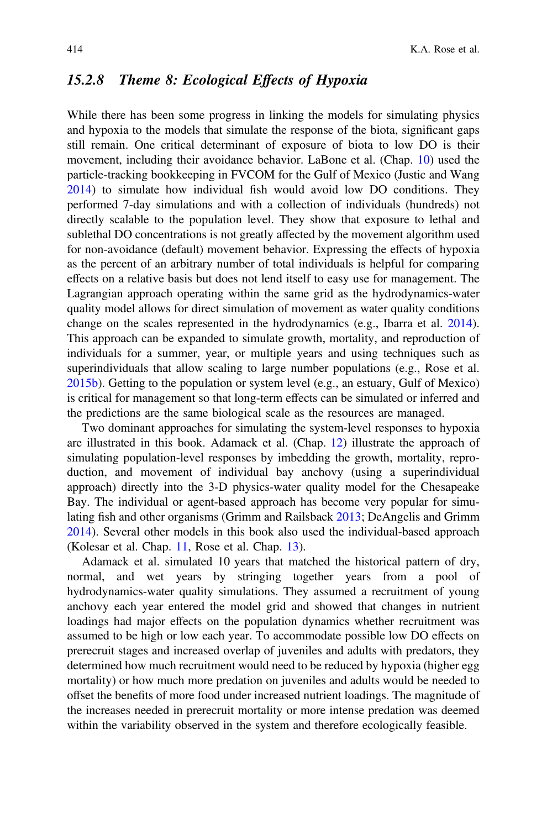## *15.2.8 Theme 8: Ecological Effects of Hypoxia*

While there has been some progress in linking the models for simulating physics and hypoxia to the models that simulate the response of the biota, significant gaps still remain. One critical determinant of exposure of biota to low DO is their movement, including their avoidance behavior. LaBone et al. (Chap. [10](http://dx.doi.org/10.1007/978-3-319-54571-4_10)) used the particle-tracking bookkeeping in FVCOM for the Gulf of Mexico (Justic and Wang 2014) to simulate how individual fish would avoid low DO conditions. They performed 7-day simulations and with a collection of individuals (hundreds) not directly scalable to the population level. They show that exposure to lethal and sublethal DO concentrations is not greatly affected by the movement algorithm used for non-avoidance (default) movement behavior. Expressing the effects of hypoxia as the percent of an arbitrary number of total individuals is helpful for comparing effects on a relative basis but does not lend itself to easy use for management. The Lagrangian approach operating within the same grid as the hydrodynamics-water quality model allows for direct simulation of movement as water quality conditions change on the scales represented in the hydrodynamics (e.g., Ibarra et al. 2014). This approach can be expanded to simulate growth, mortality, and reproduction of individuals for a summer, year, or multiple years and using techniques such as superindividuals that allow scaling to large number populations (e.g., Rose et al. 2015b). Getting to the population or system level (e.g., an estuary, Gulf of Mexico) is critical for management so that long-term effects can be simulated or inferred and the predictions are the same biological scale as the resources are managed.

Two dominant approaches for simulating the system-level responses to hypoxia are illustrated in this book. Adamack et al. (Chap. [12\)](http://dx.doi.org/10.1007/978-3-319-54571-4_12) illustrate the approach of simulating population-level responses by imbedding the growth, mortality, reproduction, and movement of individual bay anchovy (using a superindividual approach) directly into the 3-D physics-water quality model for the Chesapeake Bay. The individual or agent-based approach has become very popular for simulating fish and other organisms (Grimm and Railsback 2013; DeAngelis and Grimm 2014). Several other models in this book also used the individual-based approach (Kolesar et al. Chap. [11](http://dx.doi.org/10.1007/978-3-319-54571-4_11), Rose et al. Chap. [13](http://dx.doi.org/10.1007/978-3-319-54571-4_13)).

Adamack et al. simulated 10 years that matched the historical pattern of dry, normal, and wet years by stringing together years from a pool of hydrodynamics-water quality simulations. They assumed a recruitment of young anchovy each year entered the model grid and showed that changes in nutrient loadings had major effects on the population dynamics whether recruitment was assumed to be high or low each year. To accommodate possible low DO effects on prerecruit stages and increased overlap of juveniles and adults with predators, they determined how much recruitment would need to be reduced by hypoxia (higher egg mortality) or how much more predation on juveniles and adults would be needed to offset the benefits of more food under increased nutrient loadings. The magnitude of the increases needed in prerecruit mortality or more intense predation was deemed within the variability observed in the system and therefore ecologically feasible.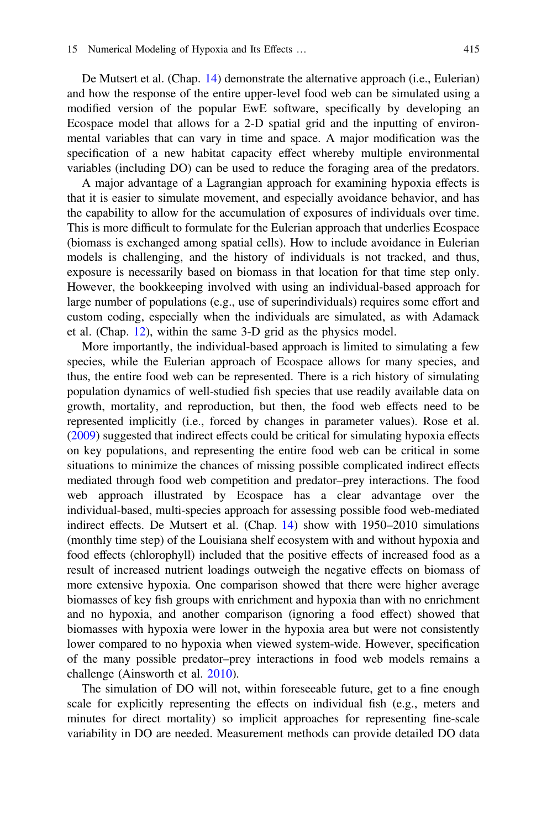De Mutsert et al. (Chap. [14\)](http://dx.doi.org/10.1007/978-3-319-54571-4_14) demonstrate the alternative approach (i.e., Eulerian) and how the response of the entire upper-level food web can be simulated using a modified version of the popular EwE software, specifically by developing an Ecospace model that allows for a 2-D spatial grid and the inputting of environmental variables that can vary in time and space. A major modification was the specification of a new habitat capacity effect whereby multiple environmental variables (including DO) can be used to reduce the foraging area of the predators.

A major advantage of a Lagrangian approach for examining hypoxia effects is that it is easier to simulate movement, and especially avoidance behavior, and has the capability to allow for the accumulation of exposures of individuals over time. This is more difficult to formulate for the Eulerian approach that underlies Ecospace (biomass is exchanged among spatial cells). How to include avoidance in Eulerian models is challenging, and the history of individuals is not tracked, and thus, exposure is necessarily based on biomass in that location for that time step only. However, the bookkeeping involved with using an individual-based approach for large number of populations (e.g., use of superindividuals) requires some effort and custom coding, especially when the individuals are simulated, as with Adamack et al. (Chap. [12](http://dx.doi.org/10.1007/978-3-319-54571-4_12)), within the same 3-D grid as the physics model.

More importantly, the individual-based approach is limited to simulating a few species, while the Eulerian approach of Ecospace allows for many species, and thus, the entire food web can be represented. There is a rich history of simulating population dynamics of well-studied fish species that use readily available data on growth, mortality, and reproduction, but then, the food web effects need to be represented implicitly (i.e., forced by changes in parameter values). Rose et al. (2009) suggested that indirect effects could be critical for simulating hypoxia effects on key populations, and representing the entire food web can be critical in some situations to minimize the chances of missing possible complicated indirect effects mediated through food web competition and predator–prey interactions. The food web approach illustrated by Ecospace has a clear advantage over the individual-based, multi-species approach for assessing possible food web-mediated indirect effects. De Mutsert et al. (Chap. [14](http://dx.doi.org/10.1007/978-3-319-54571-4_14)) show with 1950–2010 simulations (monthly time step) of the Louisiana shelf ecosystem with and without hypoxia and food effects (chlorophyll) included that the positive effects of increased food as a result of increased nutrient loadings outweigh the negative effects on biomass of more extensive hypoxia. One comparison showed that there were higher average biomasses of key fish groups with enrichment and hypoxia than with no enrichment and no hypoxia, and another comparison (ignoring a food effect) showed that biomasses with hypoxia were lower in the hypoxia area but were not consistently lower compared to no hypoxia when viewed system-wide. However, specification of the many possible predator–prey interactions in food web models remains a challenge (Ainsworth et al. 2010).

The simulation of DO will not, within foreseeable future, get to a fine enough scale for explicitly representing the effects on individual fish (e.g., meters and minutes for direct mortality) so implicit approaches for representing fine-scale variability in DO are needed. Measurement methods can provide detailed DO data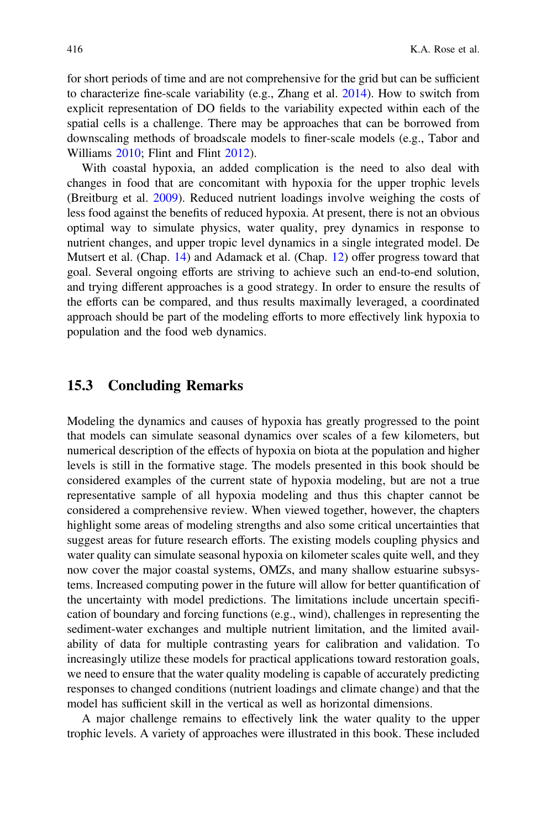for short periods of time and are not comprehensive for the grid but can be sufficient to characterize fine-scale variability (e.g., Zhang et al. 2014). How to switch from explicit representation of DO fields to the variability expected within each of the spatial cells is a challenge. There may be approaches that can be borrowed from downscaling methods of broadscale models to finer-scale models (e.g., Tabor and Williams 2010; Flint and Flint 2012).

With coastal hypoxia, an added complication is the need to also deal with changes in food that are concomitant with hypoxia for the upper trophic levels (Breitburg et al. 2009). Reduced nutrient loadings involve weighing the costs of less food against the benefits of reduced hypoxia. At present, there is not an obvious optimal way to simulate physics, water quality, prey dynamics in response to nutrient changes, and upper tropic level dynamics in a single integrated model. De Mutsert et al. (Chap. [14\)](http://dx.doi.org/10.1007/978-3-319-54571-4_14) and Adamack et al. (Chap. [12\)](http://dx.doi.org/10.1007/978-3-319-54571-4_12) offer progress toward that goal. Several ongoing efforts are striving to achieve such an end-to-end solution, and trying different approaches is a good strategy. In order to ensure the results of the efforts can be compared, and thus results maximally leveraged, a coordinated approach should be part of the modeling efforts to more effectively link hypoxia to population and the food web dynamics.

#### **15.3 Concluding Remarks**

Modeling the dynamics and causes of hypoxia has greatly progressed to the point that models can simulate seasonal dynamics over scales of a few kilometers, but numerical description of the effects of hypoxia on biota at the population and higher levels is still in the formative stage. The models presented in this book should be considered examples of the current state of hypoxia modeling, but are not a true representative sample of all hypoxia modeling and thus this chapter cannot be considered a comprehensive review. When viewed together, however, the chapters highlight some areas of modeling strengths and also some critical uncertainties that suggest areas for future research efforts. The existing models coupling physics and water quality can simulate seasonal hypoxia on kilometer scales quite well, and they now cover the major coastal systems, OMZs, and many shallow estuarine subsystems. Increased computing power in the future will allow for better quantification of the uncertainty with model predictions. The limitations include uncertain specification of boundary and forcing functions (e.g., wind), challenges in representing the sediment-water exchanges and multiple nutrient limitation, and the limited availability of data for multiple contrasting years for calibration and validation. To increasingly utilize these models for practical applications toward restoration goals, we need to ensure that the water quality modeling is capable of accurately predicting responses to changed conditions (nutrient loadings and climate change) and that the model has sufficient skill in the vertical as well as horizontal dimensions.

A major challenge remains to effectively link the water quality to the upper trophic levels. A variety of approaches were illustrated in this book. These included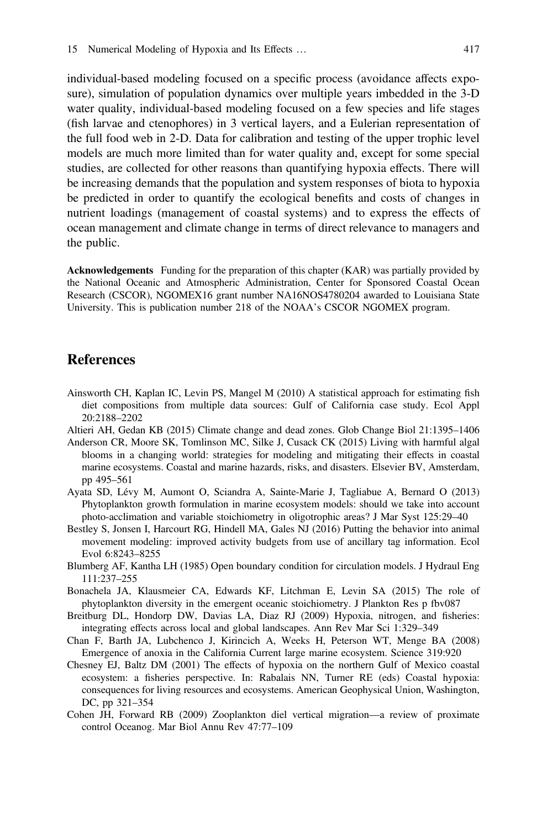individual-based modeling focused on a specific process (avoidance affects exposure), simulation of population dynamics over multiple years imbedded in the 3-D water quality, individual-based modeling focused on a few species and life stages (fish larvae and ctenophores) in 3 vertical layers, and a Eulerian representation of the full food web in 2-D. Data for calibration and testing of the upper trophic level models are much more limited than for water quality and, except for some special studies, are collected for other reasons than quantifying hypoxia effects. There will be increasing demands that the population and system responses of biota to hypoxia be predicted in order to quantify the ecological benefits and costs of changes in nutrient loadings (management of coastal systems) and to express the effects of ocean management and climate change in terms of direct relevance to managers and the public.

**Acknowledgements** Funding for the preparation of this chapter (KAR) was partially provided by the National Oceanic and Atmospheric Administration, Center for Sponsored Coastal Ocean Research (CSCOR), NGOMEX16 grant number NA16NOS4780204 awarded to Louisiana State University. This is publication number 218 of the NOAA's CSCOR NGOMEX program.

#### **References**

- Ainsworth CH, Kaplan IC, Levin PS, Mangel M (2010) A statistical approach for estimating fish diet compositions from multiple data sources: Gulf of California case study. Ecol Appl 20:2188–2202
- Altieri AH, Gedan KB (2015) Climate change and dead zones. Glob Change Biol 21:1395–1406
- Anderson CR, Moore SK, Tomlinson MC, Silke J, Cusack CK (2015) Living with harmful algal blooms in a changing world: strategies for modeling and mitigating their effects in coastal marine ecosystems. Coastal and marine hazards, risks, and disasters. Elsevier BV, Amsterdam, pp 495–561
- Ayata SD, Lévy M, Aumont O, Sciandra A, Sainte-Marie J, Tagliabue A, Bernard O (2013) Phytoplankton growth formulation in marine ecosystem models: should we take into account photo-acclimation and variable stoichiometry in oligotrophic areas? J Mar Syst 125:29–40
- Bestley S, Jonsen I, Harcourt RG, Hindell MA, Gales NJ (2016) Putting the behavior into animal movement modeling: improved activity budgets from use of ancillary tag information. Ecol Evol 6:8243–8255
- Blumberg AF, Kantha LH (1985) Open boundary condition for circulation models. J Hydraul Eng 111:237–255
- Bonachela JA, Klausmeier CA, Edwards KF, Litchman E, Levin SA (2015) The role of phytoplankton diversity in the emergent oceanic stoichiometry. J Plankton Res p fbv087
- Breitburg DL, Hondorp DW, Davias LA, Diaz RJ (2009) Hypoxia, nitrogen, and fisheries: integrating effects across local and global landscapes. Ann Rev Mar Sci 1:329–349
- Chan F, Barth JA, Lubchenco J, Kirincich A, Weeks H, Peterson WT, Menge BA (2008) Emergence of anoxia in the California Current large marine ecosystem. Science 319:920
- Chesney EJ, Baltz DM (2001) The effects of hypoxia on the northern Gulf of Mexico coastal ecosystem: a fisheries perspective. In: Rabalais NN, Turner RE (eds) Coastal hypoxia: consequences for living resources and ecosystems. American Geophysical Union, Washington, DC, pp 321–354
- Cohen JH, Forward RB (2009) Zooplankton diel vertical migration—a review of proximate control Oceanog. Mar Biol Annu Rev 47:77–109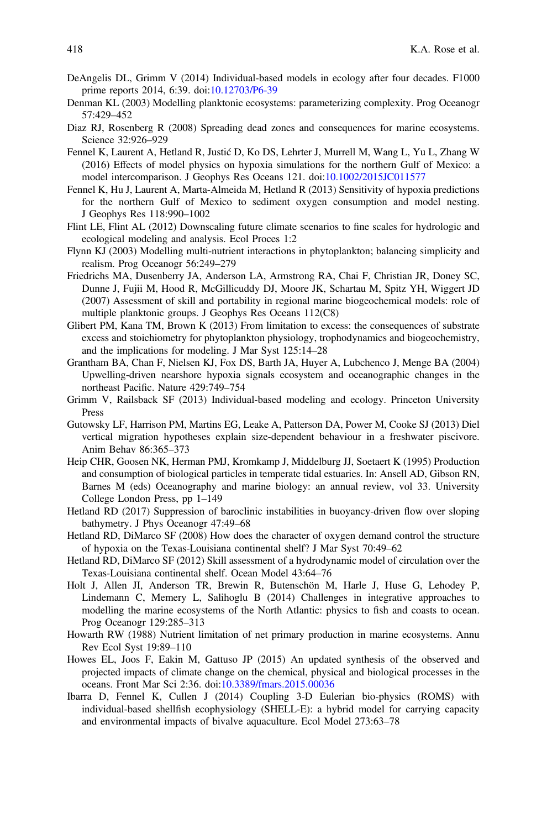- DeAngelis DL, Grimm V (2014) Individual-based models in ecology after four decades. F1000 prime reports 2014, 6:39. doi:[10.12703/P6-39](http://dx.doi.org/10.12703/P6-39)
- Denman KL (2003) Modelling planktonic ecosystems: parameterizing complexity. Prog Oceanogr 57:429–452
- Diaz RJ, Rosenberg R (2008) Spreading dead zones and consequences for marine ecosystems. Science 32:926–929
- Fennel K, Laurent A, Hetland R, Justić D, Ko DS, Lehrter J, Murrell M, Wang L, Yu L, Zhang W (2016) Effects of model physics on hypoxia simulations for the northern Gulf of Mexico: a model intercomparison. J Geophys Res Oceans 121. doi[:10.1002/2015JC011577](http://dx.doi.org/10.1002/2015JC011577)
- Fennel K, Hu J, Laurent A, Marta-Almeida M, Hetland R (2013) Sensitivity of hypoxia predictions for the northern Gulf of Mexico to sediment oxygen consumption and model nesting. J Geophys Res 118:990–1002
- Flint LE, Flint AL (2012) Downscaling future climate scenarios to fine scales for hydrologic and ecological modeling and analysis. Ecol Proces 1:2
- Flynn KJ (2003) Modelling multi-nutrient interactions in phytoplankton; balancing simplicity and realism. Prog Oceanogr 56:249–279
- Friedrichs MA, Dusenberry JA, Anderson LA, Armstrong RA, Chai F, Christian JR, Doney SC, Dunne J, Fujii M, Hood R, McGillicuddy DJ, Moore JK, Schartau M, Spitz YH, Wiggert JD (2007) Assessment of skill and portability in regional marine biogeochemical models: role of multiple planktonic groups. J Geophys Res Oceans 112(C8)
- Glibert PM, Kana TM, Brown K (2013) From limitation to excess: the consequences of substrate excess and stoichiometry for phytoplankton physiology, trophodynamics and biogeochemistry, and the implications for modeling. J Mar Syst 125:14–28
- Grantham BA, Chan F, Nielsen KJ, Fox DS, Barth JA, Huyer A, Lubchenco J, Menge BA (2004) Upwelling-driven nearshore hypoxia signals ecosystem and oceanographic changes in the northeast Pacific. Nature 429:749–754
- Grimm V, Railsback SF (2013) Individual-based modeling and ecology. Princeton University Press
- Gutowsky LF, Harrison PM, Martins EG, Leake A, Patterson DA, Power M, Cooke SJ (2013) Diel vertical migration hypotheses explain size-dependent behaviour in a freshwater piscivore. Anim Behav 86:365–373
- Heip CHR, Goosen NK, Herman PMJ, Kromkamp J, Middelburg JJ, Soetaert K (1995) Production and consumption of biological particles in temperate tidal estuaries. In: Ansell AD, Gibson RN, Barnes M (eds) Oceanography and marine biology: an annual review, vol 33. University College London Press, pp 1–149
- Hetland RD (2017) Suppression of baroclinic instabilities in buoyancy-driven flow over sloping bathymetry. J Phys Oceanogr 47:49–68
- Hetland RD, DiMarco SF (2008) How does the character of oxygen demand control the structure of hypoxia on the Texas-Louisiana continental shelf? J Mar Syst 70:49–62
- Hetland RD, DiMarco SF (2012) Skill assessment of a hydrodynamic model of circulation over the Texas-Louisiana continental shelf. Ocean Model 43:64–76
- Holt J, Allen JI, Anderson TR, Brewin R, Butenschön M, Harle J, Huse G, Lehodey P, Lindemann C, Memery L, Salihoglu B (2014) Challenges in integrative approaches to modelling the marine ecosystems of the North Atlantic: physics to fish and coasts to ocean. Prog Oceanogr 129:285–313
- Howarth RW (1988) Nutrient limitation of net primary production in marine ecosystems. Annu Rev Ecol Syst 19:89–110
- Howes EL, Joos F, Eakin M, Gattuso JP (2015) An updated synthesis of the observed and projected impacts of climate change on the chemical, physical and biological processes in the oceans. Front Mar Sci 2:36. doi:[10.3389/fmars.2015.00036](http://dx.doi.org/10.3389/fmars.2015.00036)
- Ibarra D, Fennel K, Cullen J (2014) Coupling 3-D Eulerian bio-physics (ROMS) with individual-based shellfish ecophysiology (SHELL-E): a hybrid model for carrying capacity and environmental impacts of bivalve aquaculture. Ecol Model 273:63–78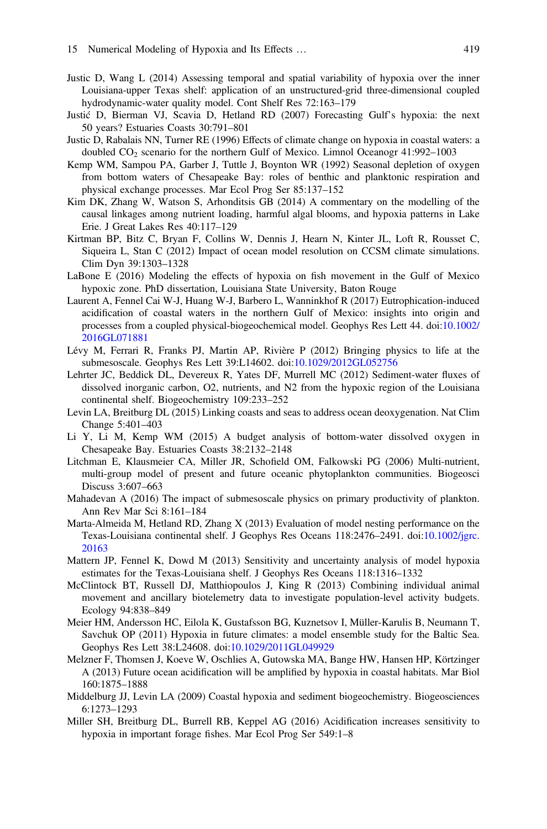- Justic D, Wang L (2014) Assessing temporal and spatial variability of hypoxia over the inner Louisiana-upper Texas shelf: application of an unstructured-grid three-dimensional coupled hydrodynamic-water quality model. Cont Shelf Res 72:163–179
- Justić D, Bierman VJ, Scavia D, Hetland RD (2007) Forecasting Gulf's hypoxia: the next 50 years? Estuaries Coasts 30:791–801
- Justic D, Rabalais NN, Turner RE (1996) Effects of climate change on hypoxia in coastal waters: a doubled  $CO<sub>2</sub>$  scenario for the northern Gulf of Mexico. Limnol Oceanogr 41:992–1003
- Kemp WM, Sampou PA, Garber J, Tuttle J, Boynton WR (1992) Seasonal depletion of oxygen from bottom waters of Chesapeake Bay: roles of benthic and planktonic respiration and physical exchange processes. Mar Ecol Prog Ser 85:137–152
- Kim DK, Zhang W, Watson S, Arhonditsis GB (2014) A commentary on the modelling of the causal linkages among nutrient loading, harmful algal blooms, and hypoxia patterns in Lake Erie. J Great Lakes Res 40:117–129
- Kirtman BP, Bitz C, Bryan F, Collins W, Dennis J, Hearn N, Kinter JL, Loft R, Rousset C, Siqueira L, Stan C (2012) Impact of ocean model resolution on CCSM climate simulations. Clim Dyn 39:1303–1328
- LaBone E (2016) Modeling the effects of hypoxia on fish movement in the Gulf of Mexico hypoxic zone. PhD dissertation, Louisiana State University, Baton Rouge
- Laurent A, Fennel Cai W-J, Huang W-J, Barbero L, Wanninkhof R (2017) Eutrophication-induced acidification of coastal waters in the northern Gulf of Mexico: insights into origin and processes from a coupled physical-biogeochemical model. Geophys Res Lett 44. doi:[10.1002/](http://dx.doi.org/10.1002/2016GL071881) [2016GL071881](http://dx.doi.org/10.1002/2016GL071881)
- Lévy M, Ferrari R, Franks PJ, Martin AP, Rivière P (2012) Bringing physics to life at the submesoscale. Geophys Res Lett 39:L14602. doi[:10.1029/2012GL052756](http://dx.doi.org/10.1029/2012GL052756)
- Lehrter JC, Beddick DL, Devereux R, Yates DF, Murrell MC (2012) Sediment-water fluxes of dissolved inorganic carbon, O2, nutrients, and N2 from the hypoxic region of the Louisiana continental shelf. Biogeochemistry 109:233–252
- Levin LA, Breitburg DL (2015) Linking coasts and seas to address ocean deoxygenation. Nat Clim Change 5:401–403
- Li Y, Li M, Kemp WM (2015) A budget analysis of bottom-water dissolved oxygen in Chesapeake Bay. Estuaries Coasts 38:2132–2148
- Litchman E, Klausmeier CA, Miller JR, Schofield OM, Falkowski PG (2006) Multi-nutrient, multi-group model of present and future oceanic phytoplankton communities. Biogeosci Discuss 3:607–663
- Mahadevan A (2016) The impact of submesoscale physics on primary productivity of plankton. Ann Rev Mar Sci 8:161–184
- Marta-Almeida M, Hetland RD, Zhang X (2013) Evaluation of model nesting performance on the Texas-Louisiana continental shelf. J Geophys Res Oceans 118:2476–2491. doi:[10.1002/jgrc.](http://dx.doi.org/10.1002/jgrc.20163) [20163](http://dx.doi.org/10.1002/jgrc.20163)
- Mattern JP, Fennel K, Dowd M (2013) Sensitivity and uncertainty analysis of model hypoxia estimates for the Texas-Louisiana shelf. J Geophys Res Oceans 118:1316–1332
- McClintock BT, Russell DJ, Matthiopoulos J, King R (2013) Combining individual animal movement and ancillary biotelemetry data to investigate population-level activity budgets. Ecology 94:838–849
- Meier HM, Andersson HC, Eilola K, Gustafsson BG, Kuznetsov I, Müller-Karulis B, Neumann T, Savchuk OP (2011) Hypoxia in future climates: a model ensemble study for the Baltic Sea. Geophys Res Lett 38:L24608. doi[:10.1029/2011GL049929](http://dx.doi.org/10.1029/2011GL049929)
- Melzner F, Thomsen J, Koeve W, Oschlies A, Gutowska MA, Bange HW, Hansen HP, Körtzinger A (2013) Future ocean acidification will be amplified by hypoxia in coastal habitats. Mar Biol 160:1875–1888
- Middelburg JJ, Levin LA (2009) Coastal hypoxia and sediment biogeochemistry. Biogeosciences 6:1273–1293
- Miller SH, Breitburg DL, Burrell RB, Keppel AG (2016) Acidification increases sensitivity to hypoxia in important forage fishes. Mar Ecol Prog Ser 549:1–8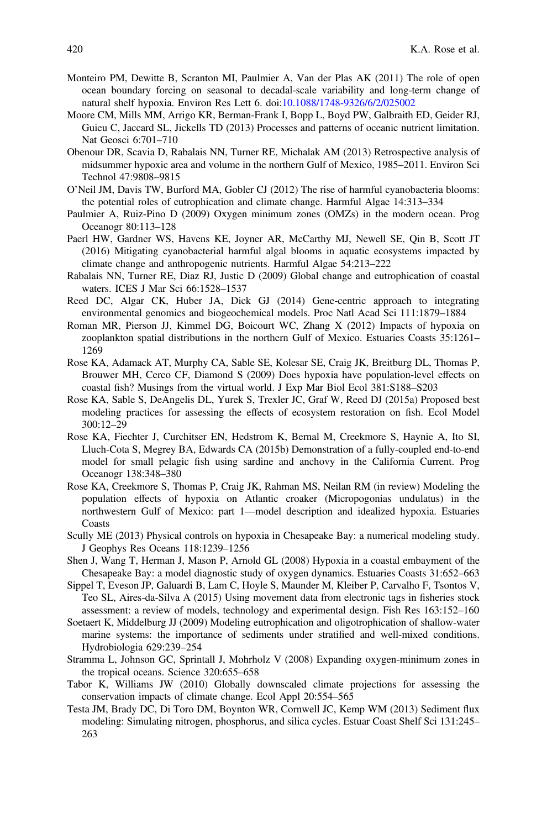- Monteiro PM, Dewitte B, Scranton MI, Paulmier A, Van der Plas AK (2011) The role of open ocean boundary forcing on seasonal to decadal-scale variability and long-term change of natural shelf hypoxia. Environ Res Lett 6. doi:[10.1088/1748-9326/6/2/025002](http://dx.doi.org/10.1088/1748-9326/6/2/025002)
- Moore CM, Mills MM, Arrigo KR, Berman-Frank I, Bopp L, Boyd PW, Galbraith ED, Geider RJ, Guieu C, Jaccard SL, Jickells TD (2013) Processes and patterns of oceanic nutrient limitation. Nat Geosci 6:701–710
- Obenour DR, Scavia D, Rabalais NN, Turner RE, Michalak AM (2013) Retrospective analysis of midsummer hypoxic area and volume in the northern Gulf of Mexico, 1985–2011. Environ Sci Technol 47:9808–9815
- O'Neil JM, Davis TW, Burford MA, Gobler CJ (2012) The rise of harmful cyanobacteria blooms: the potential roles of eutrophication and climate change. Harmful Algae 14:313–334
- Paulmier A, Ruiz-Pino D (2009) Oxygen minimum zones (OMZs) in the modern ocean. Prog Oceanogr 80:113–128
- Paerl HW, Gardner WS, Havens KE, Joyner AR, McCarthy MJ, Newell SE, Qin B, Scott JT (2016) Mitigating cyanobacterial harmful algal blooms in aquatic ecosystems impacted by climate change and anthropogenic nutrients. Harmful Algae 54:213–222
- Rabalais NN, Turner RE, Diaz RJ, Justic D (2009) Global change and eutrophication of coastal waters. ICES J Mar Sci 66:1528–1537
- Reed DC, Algar CK, Huber JA, Dick GJ (2014) Gene-centric approach to integrating environmental genomics and biogeochemical models. Proc Natl Acad Sci 111:1879–1884
- Roman MR, Pierson JJ, Kimmel DG, Boicourt WC, Zhang X (2012) Impacts of hypoxia on zooplankton spatial distributions in the northern Gulf of Mexico. Estuaries Coasts 35:1261– 1269
- Rose KA, Adamack AT, Murphy CA, Sable SE, Kolesar SE, Craig JK, Breitburg DL, Thomas P, Brouwer MH, Cerco CF, Diamond S (2009) Does hypoxia have population-level effects on coastal fish? Musings from the virtual world. J Exp Mar Biol Ecol 381:S188–S203
- Rose KA, Sable S, DeAngelis DL, Yurek S, Trexler JC, Graf W, Reed DJ (2015a) Proposed best modeling practices for assessing the effects of ecosystem restoration on fish. Ecol Model 300:12–29
- Rose KA, Fiechter J, Curchitser EN, Hedstrom K, Bernal M, Creekmore S, Haynie A, Ito SI, Lluch-Cota S, Megrey BA, Edwards CA (2015b) Demonstration of a fully-coupled end-to-end model for small pelagic fish using sardine and anchovy in the California Current. Prog Oceanogr 138:348–380
- Rose KA, Creekmore S, Thomas P, Craig JK, Rahman MS, Neilan RM (in review) Modeling the population effects of hypoxia on Atlantic croaker (Micropogonias undulatus) in the northwestern Gulf of Mexico: part 1—model description and idealized hypoxia. Estuaries **Coasts**
- Scully ME (2013) Physical controls on hypoxia in Chesapeake Bay: a numerical modeling study. J Geophys Res Oceans 118:1239–1256
- Shen J, Wang T, Herman J, Mason P, Arnold GL (2008) Hypoxia in a coastal embayment of the Chesapeake Bay: a model diagnostic study of oxygen dynamics. Estuaries Coasts 31:652–663
- Sippel T, Eveson JP, Galuardi B, Lam C, Hoyle S, Maunder M, Kleiber P, Carvalho F, Tsontos V, Teo SL, Aires-da-Silva A (2015) Using movement data from electronic tags in fisheries stock assessment: a review of models, technology and experimental design. Fish Res 163:152–160
- Soetaert K, Middelburg JJ (2009) Modeling eutrophication and oligotrophication of shallow-water marine systems: the importance of sediments under stratified and well-mixed conditions. Hydrobiologia 629:239–254
- Stramma L, Johnson GC, Sprintall J, Mohrholz V (2008) Expanding oxygen-minimum zones in the tropical oceans. Science 320:655–658
- Tabor K, Williams JW (2010) Globally downscaled climate projections for assessing the conservation impacts of climate change. Ecol Appl 20:554–565
- Testa JM, Brady DC, Di Toro DM, Boynton WR, Cornwell JC, Kemp WM (2013) Sediment flux modeling: Simulating nitrogen, phosphorus, and silica cycles. Estuar Coast Shelf Sci 131:245– 263